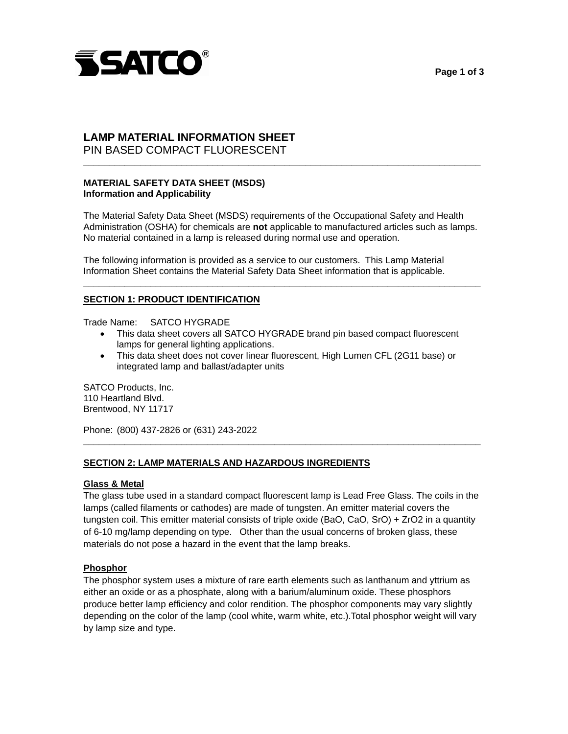

# **Page 1 of 3**

# PIN BASED COMPACT FLUORESCENT **LAMP MATERIAL INFORMATION SHEET**

# **MATERIAL SAFETY DATA SHEET (MSDS) Information and Applicability**

The Material Safety Data Sheet (MSDS) requirements of the Occupational Safety and Health Administration (OSHA) for chemicals are **not** applicable to manufactured articles such as lamps. No material contained in a lamp is released during normal use and operation.

**\_\_\_\_\_\_\_\_\_\_\_\_\_\_\_\_\_\_\_\_\_\_\_\_\_\_\_\_\_\_\_\_\_\_\_\_\_\_\_\_\_\_\_\_\_\_\_\_\_\_\_\_\_\_\_\_\_\_\_\_\_\_\_\_\_\_\_\_\_\_\_\_\_\_\_\_\_** 

**\_\_\_\_\_\_\_\_\_\_\_\_\_\_\_\_\_\_\_\_\_\_\_\_\_\_\_\_\_\_\_\_\_\_\_\_\_\_\_\_\_\_\_\_\_\_\_\_\_\_\_\_\_\_\_\_\_\_\_\_\_\_\_\_\_\_\_\_\_\_\_\_\_\_\_\_\_** 

The following information is provided as a service to our customers. This Lamp Material Information Sheet contains the Material Safety Data Sheet information that is applicable.

### **SECTION 1: PRODUCT IDENTIFICATION**

Trade Name: SATCO HYGRADE

- This data sheet covers all SATCO HYGRADE brand pin based compact fluorescent lamps for general lighting applications.
- This data sheet does not cover linear fluorescent, High Lumen CFL (2G11 base) or integrated lamp and ballast/adapter units

SATCO Products, Inc. 110 Heartland Blvd. Brentwood, NY 11717

Phone: (800) 437-2826 or (631) 243-2022

# **SECTION 2: LAMP MATERIALS AND HAZARDOUS INGREDIENTS**

# **Glass & Metal**

The glass tube used in a standard compact fluorescent lamp is Lead Free Glass. The coils in the lamps (called filaments or cathodes) are made of tungsten. An emitter material covers the tungsten coil. This emitter material consists of triple oxide (BaO, CaO, SrO) + ZrO2 in a quantity of 6-10 mg/lamp depending on type. Other than the usual concerns of broken glass, these materials do not pose a hazard in the event that the lamp breaks.

**\_\_\_\_\_\_\_\_\_\_\_\_\_\_\_\_\_\_\_\_\_\_\_\_\_\_\_\_\_\_\_\_\_\_\_\_\_\_\_\_\_\_\_\_\_\_\_\_\_\_\_\_\_\_\_\_\_\_\_\_\_\_\_\_\_\_\_\_\_\_\_\_\_\_\_\_\_** 

#### **Phosphor**

The phosphor system uses a mixture of rare earth elements such as lanthanum and yttrium as either an oxide or as a phosphate, along with a barium/aluminum oxide. These phosphors produce better lamp efficiency and color rendition. The phosphor components may vary slightly depending on the color of the lamp (cool white, warm white, etc.).Total phosphor weight will vary by lamp size and type.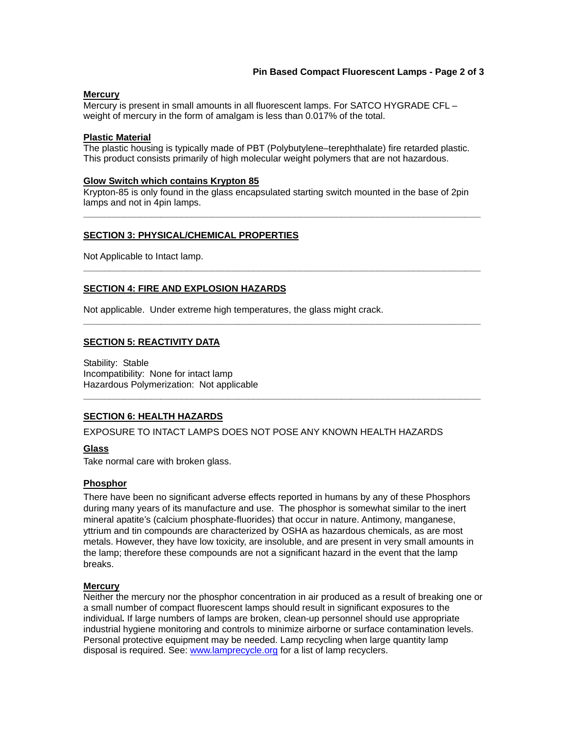# **Pin Based Compact Fluorescent Lamps - Page 2 of 3**

#### **Mercury**

Mercury is present in small amounts in all fluorescent lamps. For SATCO HYGRADE CFL – weight of mercury in the form of amalgam is less than 0.017% of the total.

#### **Plastic Material**

The plastic housing is typically made of PBT (Polybutylene–terephthalate) fire retarded plastic. This product consists primarily of high molecular weight polymers that are not hazardous.

#### **Glow Switch which contains Krypton 85**

Krypton-85 is only found in the glass encapsulated starting switch mounted in the base of 2pin lamps and not in 4pin lamps.

**\_\_\_\_\_\_\_\_\_\_\_\_\_\_\_\_\_\_\_\_\_\_\_\_\_\_\_\_\_\_\_\_\_\_\_\_\_\_\_\_\_\_\_\_\_\_\_\_\_\_\_\_\_\_\_\_\_\_\_\_\_\_\_\_\_\_\_\_\_\_\_\_\_\_\_\_\_** 

**\_\_\_\_\_\_\_\_\_\_\_\_\_\_\_\_\_\_\_\_\_\_\_\_\_\_\_\_\_\_\_\_\_\_\_\_\_\_\_\_\_\_\_\_\_\_\_\_\_\_\_\_\_\_\_\_\_\_\_\_\_\_\_\_\_\_\_\_\_\_\_\_\_\_\_\_\_** 

**\_\_\_\_\_\_\_\_\_\_\_\_\_\_\_\_\_\_\_\_\_\_\_\_\_\_\_\_\_\_\_\_\_\_\_\_\_\_\_\_\_\_\_\_\_\_\_\_\_\_\_\_\_\_\_\_\_\_\_\_\_\_\_\_\_\_\_\_\_\_\_\_\_\_\_\_\_** 

**\_\_\_\_\_\_\_\_\_\_\_\_\_\_\_\_\_\_\_\_\_\_\_\_\_\_\_\_\_\_\_\_\_\_\_\_\_\_\_\_\_\_\_\_\_\_\_\_\_\_\_\_\_\_\_\_\_\_\_\_\_\_\_\_\_\_\_\_\_\_\_\_\_\_\_\_\_** 

#### **SECTION 3: PHYSICAL/CHEMICAL PROPERTIES**

Not Applicable to Intact lamp.

### **SECTION 4: FIRE AND EXPLOSION HAZARDS**

Not applicable. Under extreme high temperatures, the glass might crack.

### **SECTION 5: REACTIVITY DATA**

Stability: Stable Incompatibility: None for intact lamp Hazardous Polymerization: Not applicable

#### **SECTION 6: HEALTH HAZARDS**

EXPOSURE TO INTACT LAMPS DOES NOT POSE ANY KNOWN HEALTH HAZARDS

#### **Glass**

Take normal care with broken glass.

#### **Phosphor**

There have been no significant adverse effects reported in humans by any of these Phosphors during many years of its manufacture and use. The phosphor is somewhat similar to the inert mineral apatite's (calcium phosphate-fluorides) that occur in nature. Antimony, manganese, yttrium and tin compounds are characterized by OSHA as hazardous chemicals, as are most metals. However, they have low toxicity, are insoluble, and are present in very small amounts in the lamp; therefore these compounds are not a significant hazard in the event that the lamp breaks.

#### **Mercury**

disposal is required. See: www.lamprecycle.org for a list of lamp recyclers. Neither the mercury nor the phosphor concentration in air produced as a result of breaking one or a small number of compact fluorescent lamps should result in significant exposures to the individual*.* If large numbers of lamps are broken, clean-up personnel should use appropriate industrial hygiene monitoring and controls to minimize airborne or surface contamination levels. Personal protective equipment may be needed. Lamp recycling when large quantity lamp